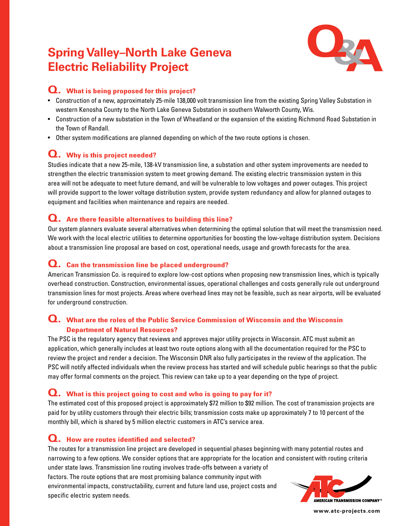# **Spring Valley–North Lake Geneva Electric Reliability Project**



## **Q. What is being proposed for this project?**

- Construction of a new, approximately 25-mile 138,000 volt transmission line from the existing Spring Valley Substation in western Kenosha County to the North Lake Geneva Substation in southern Walworth County, Wis.
- Construction of a new substation in the Town of Wheatland or the expansion of the existing Richmond Road Substation in the Town of Randall.
- Other system modifications are planned depending on which of the two route options is chosen.

## **Q. Why is this project needed?**

Studies indicate that a new 25-mile, 138-kV transmission line, a substation and other system improvements are needed to strengthen the electric transmission system to meet growing demand. The existing electric transmission system in this area will not be adequate to meet future demand, and will be vulnerable to low voltages and power outages. This project will provide support to the lower voltage distribution system, provide system redundancy and allow for planned outages to equipment and facilities when maintenance and repairs are needed.

## **Q. Are there feasible alternatives to building this line?**

Our system planners evaluate several alternatives when determining the optimal solution that will meet the transmission need. We work with the local electric utilities to determine opportunities for boosting the low-voltage distribution system. Decisions about a transmission line proposal are based on cost, operational needs, usage and growth forecasts for the area.

## **Q. Can the transmission line be placed underground?**

American Transmission Co. is required to explore low-cost options when proposing new transmission lines, which is typically overhead construction. Construction, environmental issues, operational challenges and costs generally rule out underground transmission lines for most projects. Areas where overhead lines may not be feasible, such as near airports, will be evaluated for underground construction.

## **Q. What are the roles of the Public Service Commission of Wisconsin and the Wisconsin Department of Natural Resources?**

The PSC is the regulatory agency that reviews and approves major utility projects in Wisconsin. ATC must submit an application, which generally includes at least two route options along with all the documentation required for the PSC to review the project and render a decision. The Wisconsin DNR also fully participates in the review of the application. The PSC will notify affected individuals when the review process has started and will schedule public hearings so that the public may offer formal comments on the project. This review can take up to a year depending on the type of project.

#### **Q. What is this project going to cost and who is going to pay for it?**

The estimated cost of this proposed project is approximately \$72 million to \$92 million. The cost of transmission projects are paid for by utility customers through their electric bills; transmission costs make up approximately 7 to 10 percent of the monthly bill, which is shared by 5 million electric customers in ATC's service area.

# **Q. How are routes identified and selected?**

The routes for a transmission line project are developed in sequential phases beginning with many potential routes and narrowing to a few options. We consider options that are appropriate for the location and consistent with routing criteria under state laws. Transmission line routing involves trade-offs between a variety of

factors. The route options that are most promising balance community input with environmental impacts, constructability, current and future land use, project costs and specific electric system needs.



**www.atc-projects.com**